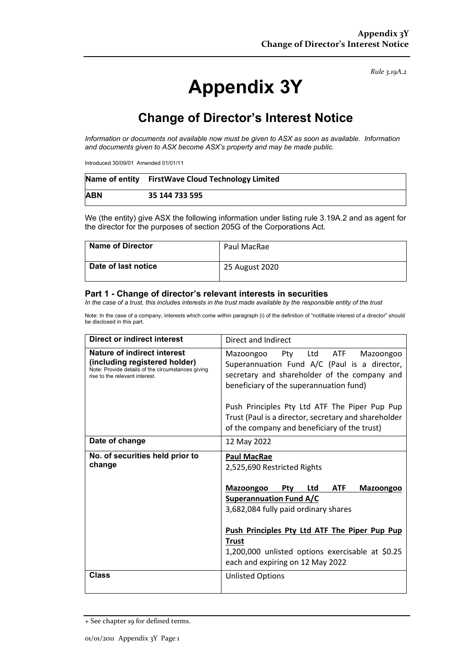*Rule 3.19A.2*

# **Appendix 3Y**

# **Change of Director's Interest Notice**

*Information or documents not available now must be given to ASX as soon as available. Information and documents given to ASX become ASX's property and may be made public.*

Introduced 30/09/01 Amended 01/01/11

|            | Name of entity FirstWave Cloud Technology Limited |
|------------|---------------------------------------------------|
| <b>ABN</b> | 35 144 733 595                                    |

We (the entity) give ASX the following information under listing rule 3.19A.2 and as agent for the director for the purposes of section 205G of the Corporations Act.

| Name of Director    | Paul MacRae    |
|---------------------|----------------|
| Date of last notice | 25 August 2020 |

#### **Part 1 - Change of director's relevant interests in securities**

*In the case of a trust, this includes interests in the trust made available by the responsible entity of the trust*

Note: In the case of a company, interests which come within paragraph (i) of the definition of "notifiable interest of a director" should be disclosed in this part.

| <b>Direct or indirect interest</b>                                                                                                                  | Direct and Indirect                                                                                                                                                                 |  |  |
|-----------------------------------------------------------------------------------------------------------------------------------------------------|-------------------------------------------------------------------------------------------------------------------------------------------------------------------------------------|--|--|
| Nature of indirect interest<br>(including registered holder)<br>Note: Provide details of the circumstances giving<br>rise to the relevant interest. | Pty<br>Ltd ATF<br>Mazoongoo<br>Mazoongoo<br>Superannuation Fund A/C (Paul is a director,<br>secretary and shareholder of the company and<br>beneficiary of the superannuation fund) |  |  |
|                                                                                                                                                     | Push Principles Pty Ltd ATF The Piper Pup Pup<br>Trust (Paul is a director, secretary and shareholder<br>of the company and beneficiary of the trust)                               |  |  |
| Date of change                                                                                                                                      | 12 May 2022                                                                                                                                                                         |  |  |
| No. of securities held prior to<br>change                                                                                                           | <b>Paul MacRae</b><br>2,525,690 Restricted Rights                                                                                                                                   |  |  |
|                                                                                                                                                     | <b>ATF</b><br><b>Mazoongoo</b><br><b>Ptv</b><br>Ltd<br><b>Mazoongoo</b>                                                                                                             |  |  |
|                                                                                                                                                     | <b>Superannuation Fund A/C</b>                                                                                                                                                      |  |  |
|                                                                                                                                                     | 3,682,084 fully paid ordinary shares                                                                                                                                                |  |  |
|                                                                                                                                                     | Push Principles Pty Ltd ATF The Piper Pup Pup                                                                                                                                       |  |  |
|                                                                                                                                                     | <b>Trust</b>                                                                                                                                                                        |  |  |
|                                                                                                                                                     | 1,200,000 unlisted options exercisable at \$0.25<br>each and expiring on 12 May 2022                                                                                                |  |  |
| <b>Class</b>                                                                                                                                        | <b>Unlisted Options</b>                                                                                                                                                             |  |  |

<sup>+</sup> See chapter 19 for defined terms.